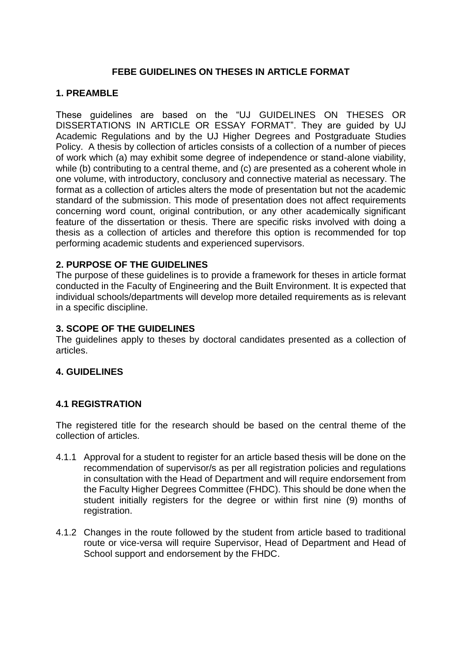# **FEBE GUIDELINES ON THESES IN ARTICLE FORMAT**

## **1. PREAMBLE**

These guidelines are based on the "UJ GUIDELINES ON THESES OR DISSERTATIONS IN ARTICLE OR ESSAY FORMAT". They are guided by UJ Academic Regulations and by the UJ Higher Degrees and Postgraduate Studies Policy. A thesis by collection of articles consists of a collection of a number of pieces of work which (a) may exhibit some degree of independence or stand-alone viability, while (b) contributing to a central theme, and (c) are presented as a coherent whole in one volume, with introductory, conclusory and connective material as necessary. The format as a collection of articles alters the mode of presentation but not the academic standard of the submission. This mode of presentation does not affect requirements concerning word count, original contribution, or any other academically significant feature of the dissertation or thesis. There are specific risks involved with doing a thesis as a collection of articles and therefore this option is recommended for top performing academic students and experienced supervisors.

### **2. PURPOSE OF THE GUIDELINES**

The purpose of these guidelines is to provide a framework for theses in article format conducted in the Faculty of Engineering and the Built Environment. It is expected that individual schools/departments will develop more detailed requirements as is relevant in a specific discipline.

#### **3. SCOPE OF THE GUIDELINES**

The guidelines apply to theses by doctoral candidates presented as a collection of articles.

## **4. GUIDELINES**

#### **4.1 REGISTRATION**

The registered title for the research should be based on the central theme of the collection of articles.

- 4.1.1 Approval for a student to register for an article based thesis will be done on the recommendation of supervisor/s as per all registration policies and regulations in consultation with the Head of Department and will require endorsement from the Faculty Higher Degrees Committee (FHDC). This should be done when the student initially registers for the degree or within first nine (9) months of registration.
- 4.1.2 Changes in the route followed by the student from article based to traditional route or vice-versa will require Supervisor, Head of Department and Head of School support and endorsement by the FHDC.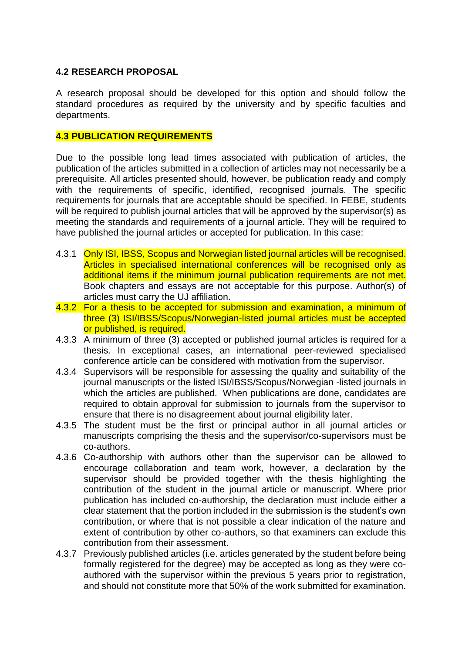## **4.2 RESEARCH PROPOSAL**

A research proposal should be developed for this option and should follow the standard procedures as required by the university and by specific faculties and departments.

### **4.3 PUBLICATION REQUIREMENTS**

Due to the possible long lead times associated with publication of articles, the publication of the articles submitted in a collection of articles may not necessarily be a prerequisite. All articles presented should, however, be publication ready and comply with the requirements of specific, identified, recognised journals. The specific requirements for journals that are acceptable should be specified. In FEBE, students will be required to publish journal articles that will be approved by the supervisor(s) as meeting the standards and requirements of a journal article. They will be required to have published the journal articles or accepted for publication. In this case:

- 4.3.1 Only ISI, IBSS, Scopus and Norwegian listed journal articles will be recognised. Articles in specialised international conferences will be recognised only as additional items if the minimum journal publication requirements are not met. Book chapters and essays are not acceptable for this purpose. Author(s) of articles must carry the UJ affiliation.
- 4.3.2 For a thesis to be accepted for submission and examination, a minimum of three (3) ISI/IBSS/Scopus/Norwegian-listed journal articles must be accepted or published, is required.
- 4.3.3 A minimum of three (3) accepted or published journal articles is required for a thesis. In exceptional cases, an international peer-reviewed specialised conference article can be considered with motivation from the supervisor.
- 4.3.4 Supervisors will be responsible for assessing the quality and suitability of the journal manuscripts or the listed ISI/IBSS/Scopus/Norwegian -listed journals in which the articles are published. When publications are done, candidates are required to obtain approval for submission to journals from the supervisor to ensure that there is no disagreement about journal eligibility later.
- 4.3.5 The student must be the first or principal author in all journal articles or manuscripts comprising the thesis and the supervisor/co-supervisors must be co-authors.
- 4.3.6 Co-authorship with authors other than the supervisor can be allowed to encourage collaboration and team work, however, a declaration by the supervisor should be provided together with the thesis highlighting the contribution of the student in the journal article or manuscript. Where prior publication has included co-authorship, the declaration must include either a clear statement that the portion included in the submission is the student's own contribution, or where that is not possible a clear indication of the nature and extent of contribution by other co-authors, so that examiners can exclude this contribution from their assessment.
- 4.3.7 Previously published articles (i.e. articles generated by the student before being formally registered for the degree) may be accepted as long as they were coauthored with the supervisor within the previous 5 years prior to registration, and should not constitute more that 50% of the work submitted for examination.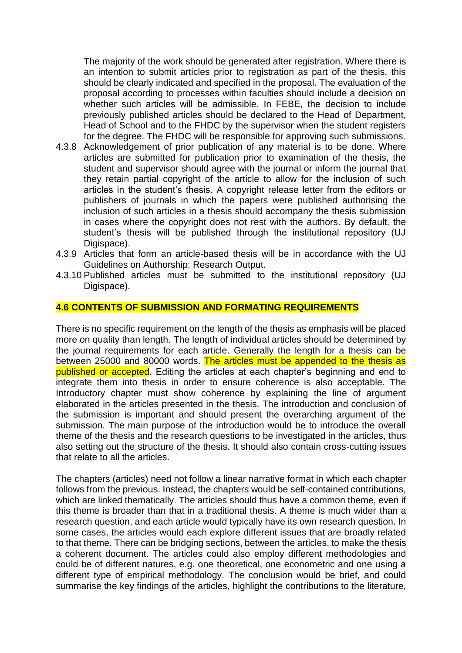The majority of the work should be generated after registration. Where there is an intention to submit articles prior to registration as part of the thesis, this should be clearly indicated and specified in the proposal. The evaluation of the proposal according to processes within faculties should include a decision on whether such articles will be admissible. In FEBE, the decision to include previously published articles should be declared to the Head of Department, Head of School and to the FHDC by the supervisor when the student registers for the degree. The FHDC will be responsible for approving such submissions.

- 4.3.8 Acknowledgement of prior publication of any material is to be done. Where articles are submitted for publication prior to examination of the thesis, the student and supervisor should agree with the journal or inform the journal that they retain partial copyright of the article to allow for the inclusion of such articles in the student's thesis. A copyright release letter from the editors or publishers of journals in which the papers were published authorising the inclusion of such articles in a thesis should accompany the thesis submission in cases where the copyright does not rest with the authors. By default, the student's thesis will be published through the institutional repository (UJ Digispace).
- 4.3.9 Articles that form an article-based thesis will be in accordance with the UJ Guidelines on Authorship: Research Output.
- 4.3.10 Published articles must be submitted to the institutional repository (UJ Digispace).

### **4.6 CONTENTS OF SUBMISSION AND FORMATING REQUIREMENTS**

There is no specific requirement on the length of the thesis as emphasis will be placed more on quality than length. The length of individual articles should be determined by the journal requirements for each article. Generally the length for a thesis can be between 25000 and 80000 words. The articles must be appended to the thesis as published or accepted. Editing the articles at each chapter's beginning and end to integrate them into thesis in order to ensure coherence is also acceptable. The Introductory chapter must show coherence by explaining the line of argument elaborated in the articles presented in the thesis. The introduction and conclusion of the submission is important and should present the overarching argument of the submission. The main purpose of the introduction would be to introduce the overall theme of the thesis and the research questions to be investigated in the articles, thus also setting out the structure of the thesis. It should also contain cross-cutting issues that relate to all the articles.

The chapters (articles) need not follow a linear narrative format in which each chapter follows from the previous. Instead, the chapters would be self-contained contributions, which are linked thematically. The articles should thus have a common theme, even if this theme is broader than that in a traditional thesis. A theme is much wider than a research question, and each article would typically have its own research question. In some cases, the articles would each explore different issues that are broadly related to that theme. There can be bridging sections, between the articles, to make the thesis a coherent document. The articles could also employ different methodologies and could be of different natures, e.g. one theoretical, one econometric and one using a different type of empirical methodology. The conclusion would be brief, and could summarise the key findings of the articles, highlight the contributions to the literature,